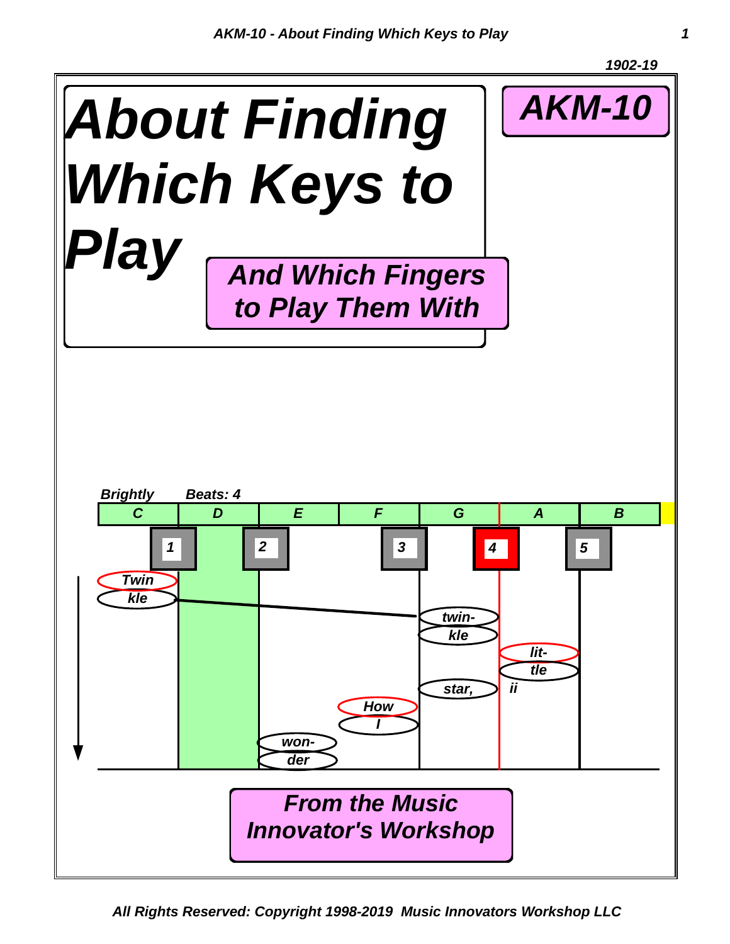

*All Rights Reserved: Copyright 1998-2019 Music Innovators Workshop LLC*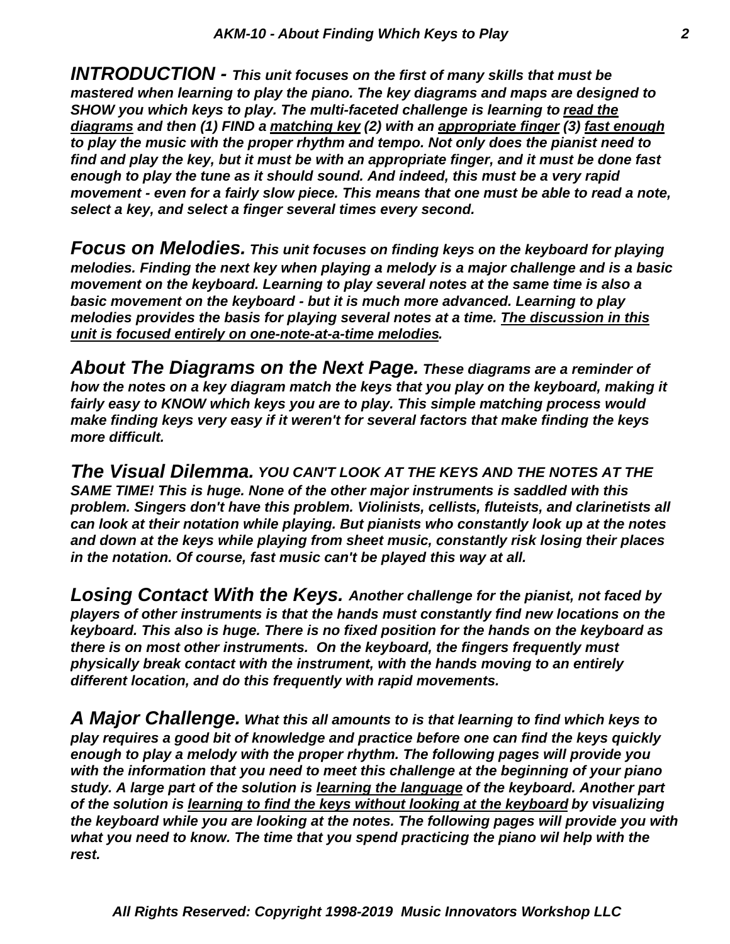*select a key, and select a finger several times every second. movement - even for a fairly slow piece. This means that one must be able to read a note, enough to play the tune as it should sound. And indeed, this must be a very rapid find and play the key, but it must be with an appropriate finger, and it must be done fast to play the music with the proper rhythm and tempo. Not only does the pianist need to diagrams and then (1) FIND a matching key (2) with an appropriate finger (3) fast enough SHOW you which keys to play. The multi-faceted challenge is learning to read the mastered when learning to play the piano. The key diagrams and maps are designed to INTRODUCTION - This unit focuses on the first of many skills that must be*

*unit is focused entirely on one-note-at-a-time melodies. melodies provides the basis for playing several notes at a time. The discussion in this basic movement on the keyboard - but it is much more advanced. Learning to play movement on the keyboard. Learning to play several notes at the same time is also a melodies. Finding the next key when playing a melody is a major challenge and is a basic Focus on Melodies. This unit focuses on finding keys on the keyboard for playing*

*more difficult. make finding keys very easy if it weren't for several factors that make finding the keys fairly easy to KNOW which keys you are to play. This simple matching process would how the notes on a key diagram match the keys that you play on the keyboard, making it About The Diagrams on the Next Page. These diagrams are a reminder of*

*in the notation. Of course, fast music can't be played this way at all. and down at the keys while playing from sheet music, constantly risk losing their places can look at their notation while playing. But pianists who constantly look up at the notes problem. Singers don't have this problem. Violinists, cellists, fluteists, and clarinetists all SAME TIME! This is huge. None of the other major instruments is saddled with this The Visual Dilemma. YOU CAN'T LOOK AT THE KEYS AND THE NOTES AT THE*

*different location, and do this frequently with rapid movements. physically break contact with the instrument, with the hands moving to an entirely there is on most other instruments. On the keyboard, the fingers frequently must keyboard. This also is huge. There is no fixed position for the hands on the keyboard as players of other instruments is that the hands must constantly find new locations on the Losing Contact With the Keys. Another challenge for the pianist, not faced by*

*rest. what you need to know. The time that you spend practicing the piano wil help with the the keyboard while you are looking at the notes. The following pages will provide you with of the solution is learning to find the keys without looking at the keyboard by visualizing study. A large part of the solution is learning the language of the keyboard. Another part with the information that you need to meet this challenge at the beginning of your piano enough to play a melody with the proper rhythm. The following pages will provide you play requires a good bit of knowledge and practice before one can find the keys quickly A Major Challenge. What this all amounts to is that learning to find which keys to*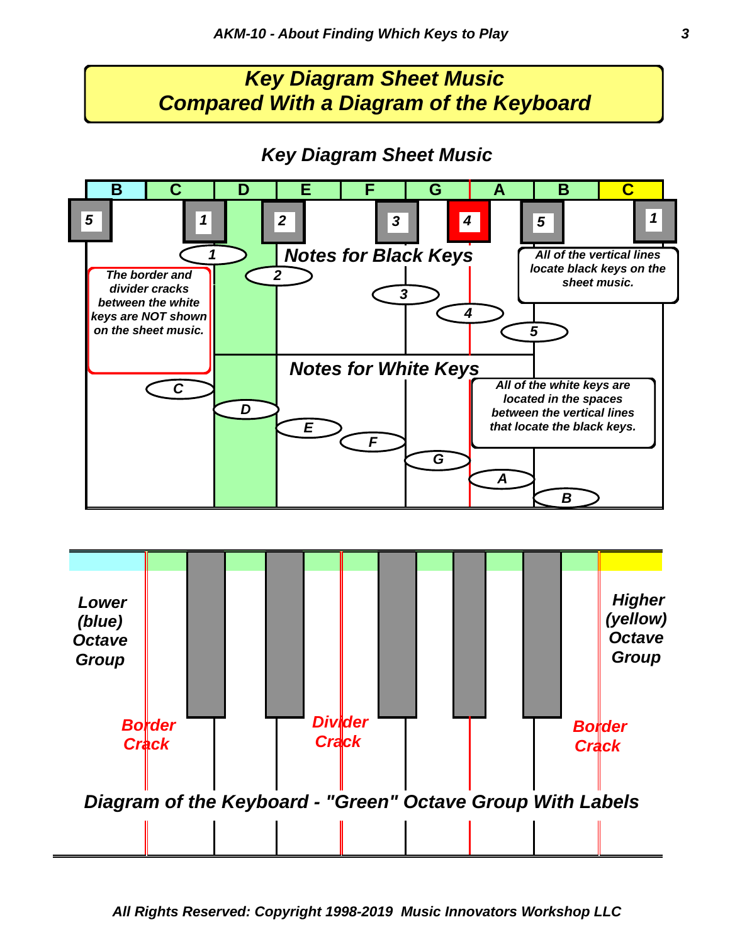### *Key Diagram Sheet Music Compared With a Diagram of the Keyboard*

#### *Key Diagram Sheet Music*

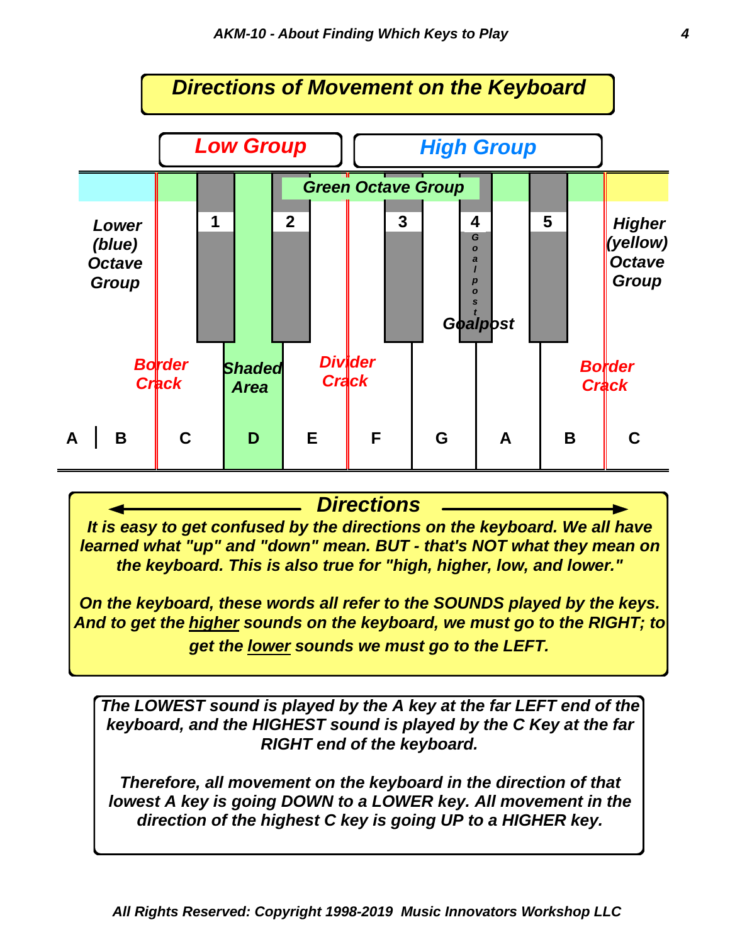

#### *Directions*

*It is easy to get confused by the directions on the keyboard. We all have learned what "up" and "down" mean. BUT - that's NOT what they mean on the keyboard. This is also true for "high, higher, low, and lower."*

*On the keyboard, these words all refer to the SOUNDS played by the keys. And to get the higher sounds on the keyboard, we must go to the RIGHT; to get the lower sounds we must go to the LEFT.*

*The LOWEST sound is played by the A key at the far LEFT end of the keyboard, and the HIGHEST sound is played by the C Key at the far RIGHT end of the keyboard.*

*Therefore, all movement on the keyboard in the direction of that lowest A key is going DOWN to a LOWER key. All movement in the direction of the highest C key is going UP to a HIGHER key.*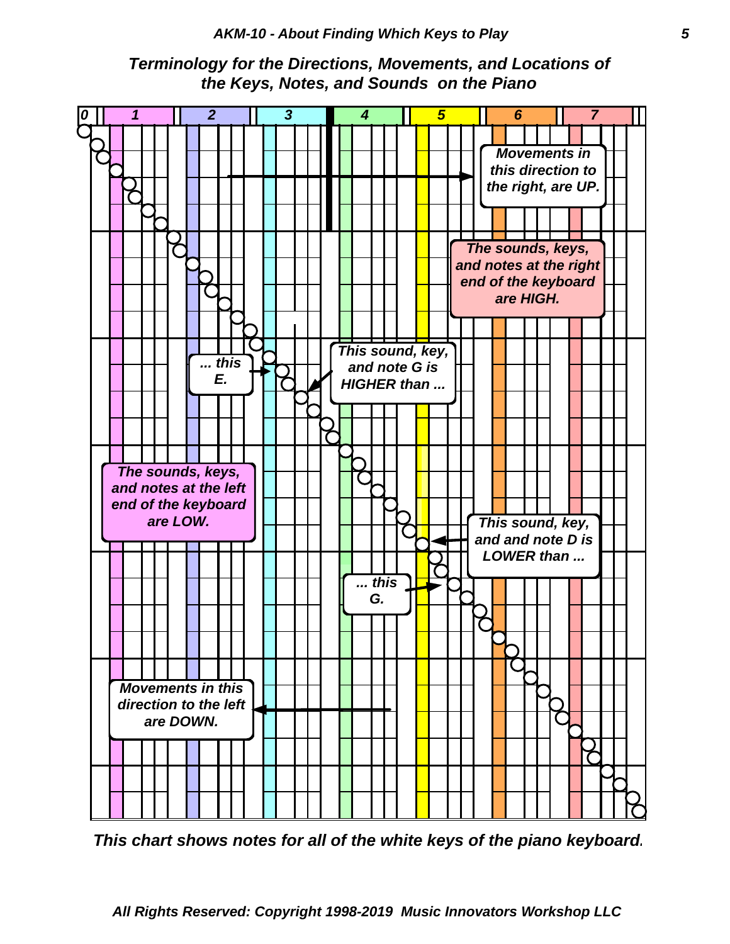



*This chart shows notes for all of the white keys of the piano keyboard.*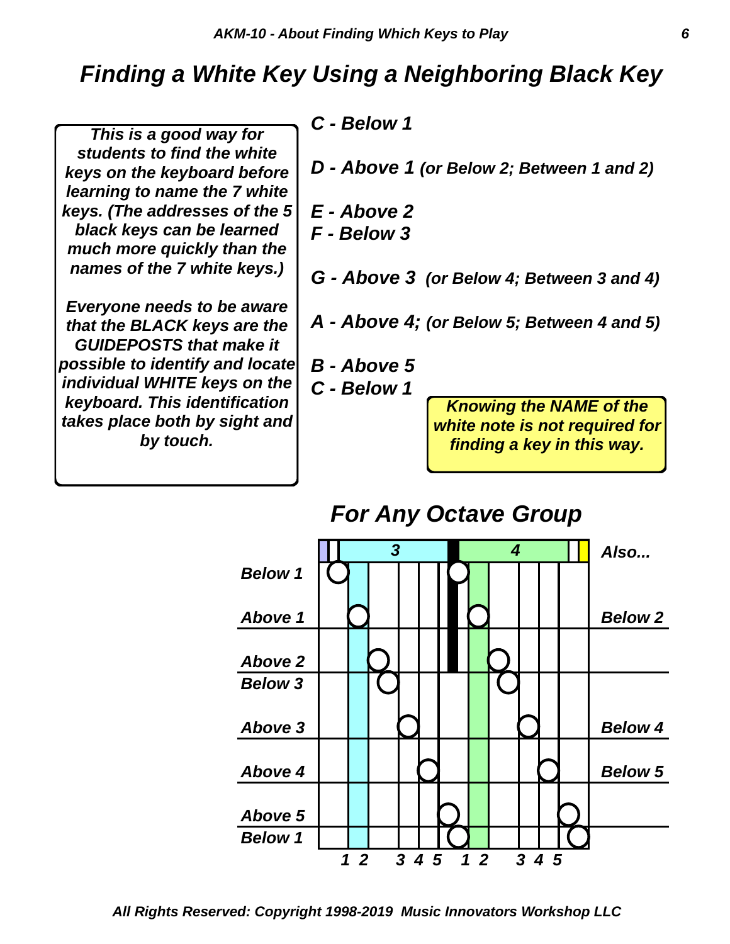# *Finding a White Key Using a Neighboring Black Key*

*This is a good way for students to find the white keys on the keyboard before learning to name the 7 white keys. (The addresses of the 5 black keys can be learned much more quickly than the names of the 7 white keys.)*

*Everyone needs to be aware that the BLACK keys are the GUIDEPOSTS that make it possible to identify and locate individual WHITE keys on the keyboard. This identification takes place both by sight and by touch.*

*C - Below 1*

*D - Above 1 (or Below 2; Between 1 and 2)*

*E - Above 2*

*F - Below 3*

*G - Above 3 (or Below 4; Between 3 and 4)*

*A - Above 4; (or Below 5; Between 4 and 5)*

*B - Above 5*

*C - Below 1*

*Knowing the NAME of the white note is not required for finding a key in this way.*



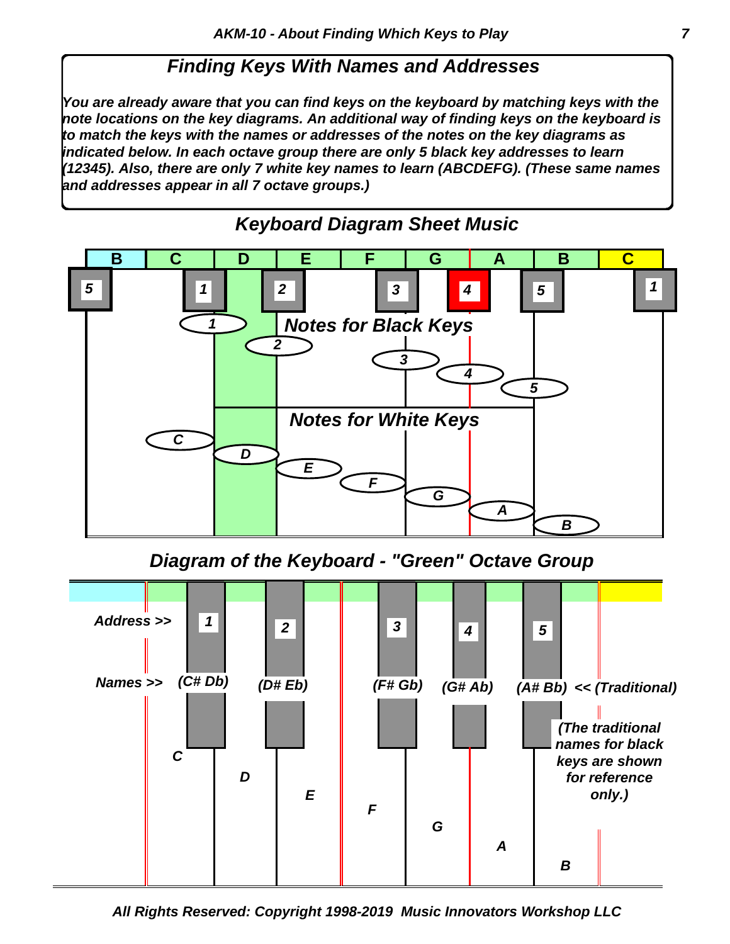### *Finding Keys With Names and Addresses*

*You are already aware that you can find keys on the keyboard by matching keys with the note locations on the key diagrams. An additional way of finding keys on the keyboard is to match the keys with the names or addresses of the notes on the key diagrams as indicated below. In each octave group there are only 5 black key addresses to learn (12345). Also, there are only 7 white key names to learn (ABCDEFG). (These same names and addresses appear in all 7 octave groups.)*



*Keyboard Diagram Sheet Music*

*Diagram of the Keyboard - "Green" Octave Group*



*All Rights Reserved: Copyright 1998-2019 Music Innovators Workshop LLC*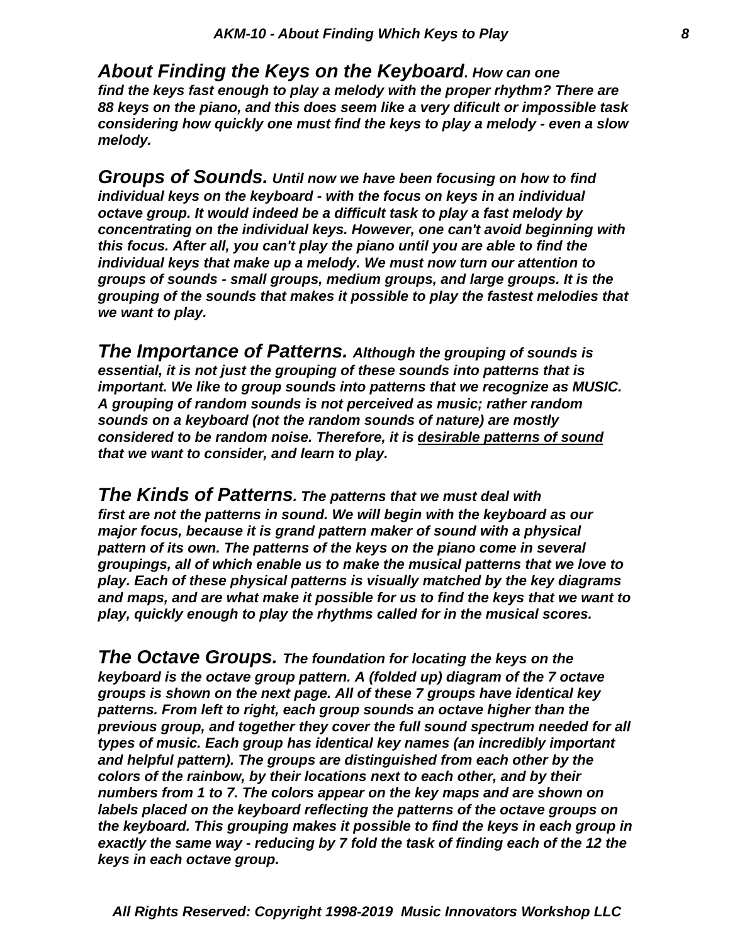*melody. considering how quickly one must find the keys to play a melody - even a slow 88 keys on the piano, and this does seem like a very dificult or impossible task find the keys fast enough to play a melody with the proper rhythm? There are About Finding the Keys on the Keyboard. How can one*

*we want to play. grouping of the sounds that makes it possible to play the fastest melodies that groups of sounds - small groups, medium groups, and large groups. It is the individual keys that make up a melody. We must now turn our attention to this focus. After all, you can't play the piano until you are able to find the concentrating on the individual keys. However, one can't avoid beginning with octave group. It would indeed be a difficult task to play a fast melody by individual keys on the keyboard - with the focus on keys in an individual Groups of Sounds. Until now we have been focusing on how to find*

*that we want to consider, and learn to play. considered to be random noise. Therefore, it is desirable patterns of sound sounds on a keyboard (not the random sounds of nature) are mostly A grouping of random sounds is not perceived as music; rather random important. We like to group sounds into patterns that we recognize as MUSIC. essential, it is not just the grouping of these sounds into patterns that is The Importance of Patterns. Although the grouping of sounds is*

*play, quickly enough to play the rhythms called for in the musical scores. and maps, and are what make it possible for us to find the keys that we want to play. Each of these physical patterns is visually matched by the key diagrams groupings, all of which enable us to make the musical patterns that we love to pattern of its own. The patterns of the keys on the piano come in several major focus, because it is grand pattern maker of sound with a physical first are not the patterns in sound. We will begin with the keyboard as our The Kinds of Patterns. The patterns that we must deal with*

*keys in each octave group. exactly the same way - reducing by 7 fold the task of finding each of the 12 the the keyboard. This grouping makes it possible to find the keys in each group in labels placed on the keyboard reflecting the patterns of the octave groups on numbers from 1 to 7. The colors appear on the key maps and are shown on colors of the rainbow, by their locations next to each other, and by their and helpful pattern). The groups are distinguished from each other by the types of music. Each group has identical key names (an incredibly important previous group, and together they cover the full sound spectrum needed for all patterns. From left to right, each group sounds an octave higher than the groups is shown on the next page. All of these 7 groups have identical key keyboard is the octave group pattern. A (folded up) diagram of the 7 octave The Octave Groups. The foundation for locating the keys on the*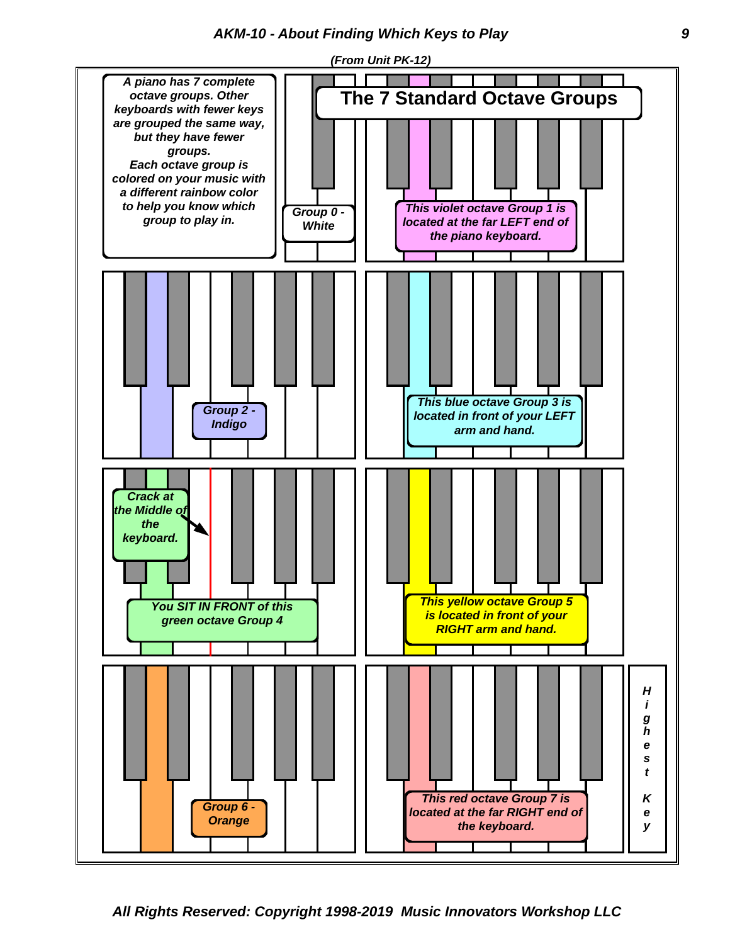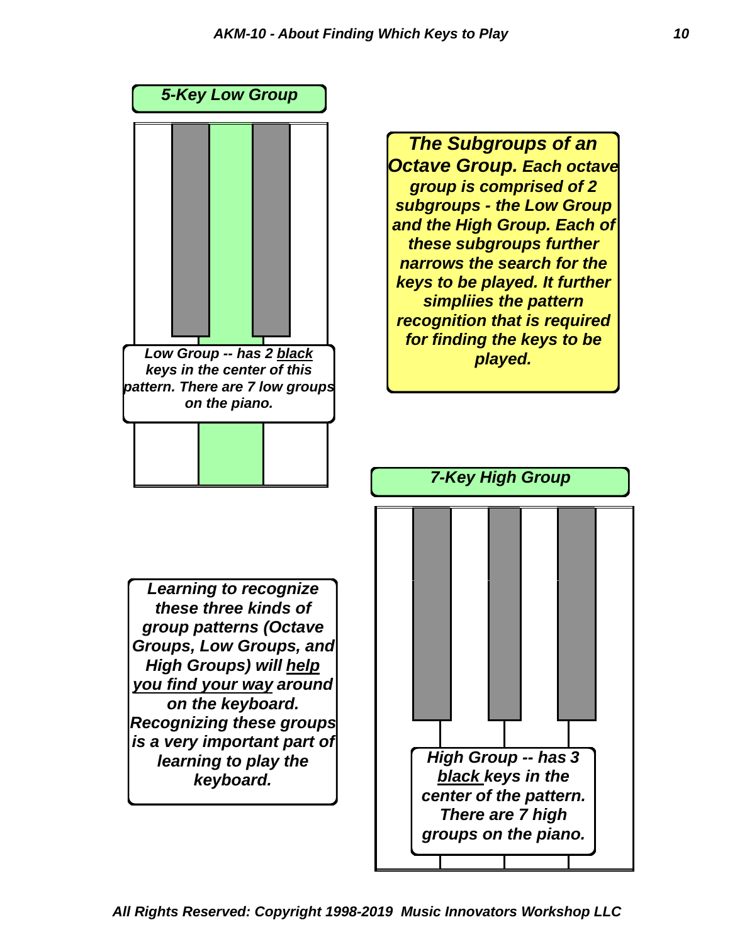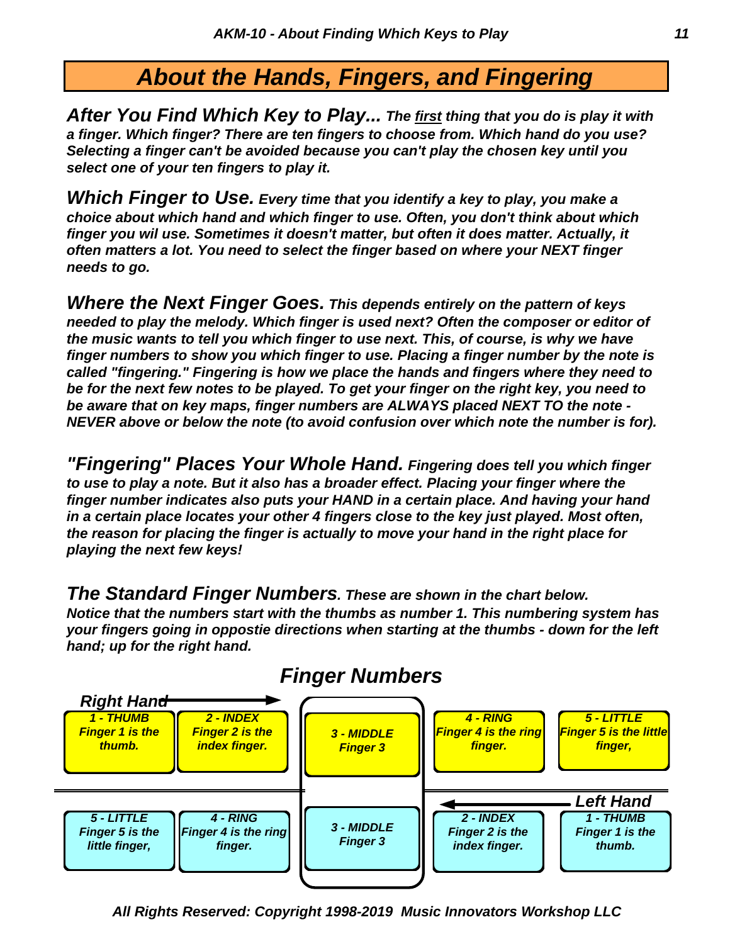# *About the Hands, Fingers, and Fingering*

*select one of your ten fingers to play it. Selecting a finger can't be avoided because you can't play the chosen key until you a finger. Which finger? There are ten fingers to choose from. Which hand do you use? After You Find Which Key to Play... The first thing that you do is play it with*

*needs to go. often matters a lot. You need to select the finger based on where your NEXT finger finger you wil use. Sometimes it doesn't matter, but often it does matter. Actually, it choice about which hand and which finger to use. Often, you don't think about which Which Finger to Use. Every time that you identify a key to play, you make a*

*NEVER above or below the note (to avoid confusion over which note the number is for). be aware that on key maps, finger numbers are ALWAYS placed NEXT TO the note be for the next few notes to be played. To get your finger on the right key, you need to called "fingering." Fingering is how we place the hands and fingers where they need to finger numbers to show you which finger to use. Placing a finger number by the note is the music wants to tell you which finger to use next. This, of course, is why we have needed to play the melody. Which finger is used next? Often the composer or editor of Where the Next Finger Goes. This depends entirely on the pattern of keys*

*playing the next few keys! the reason for placing the finger is actually to move your hand in the right place for in a certain place locates your other 4 fingers close to the key just played. Most often, finger number indicates also puts your HAND in a certain place. And having your hand to use to play a note. But it also has a broader effect. Placing your finger where the "Fingering" Places Your Whole Hand. Fingering does tell you which finger*

*The Standard Finger Numbers. These are shown in the chart below.*

*hand; up for the right hand. your fingers going in oppostie directions when starting at the thumbs - down for the left Notice that the numbers start with the thumbs as number 1. This numbering system has*



### *Finger Numbers*

*All Rights Reserved: Copyright 1998-2019 Music Innovators Workshop LLC*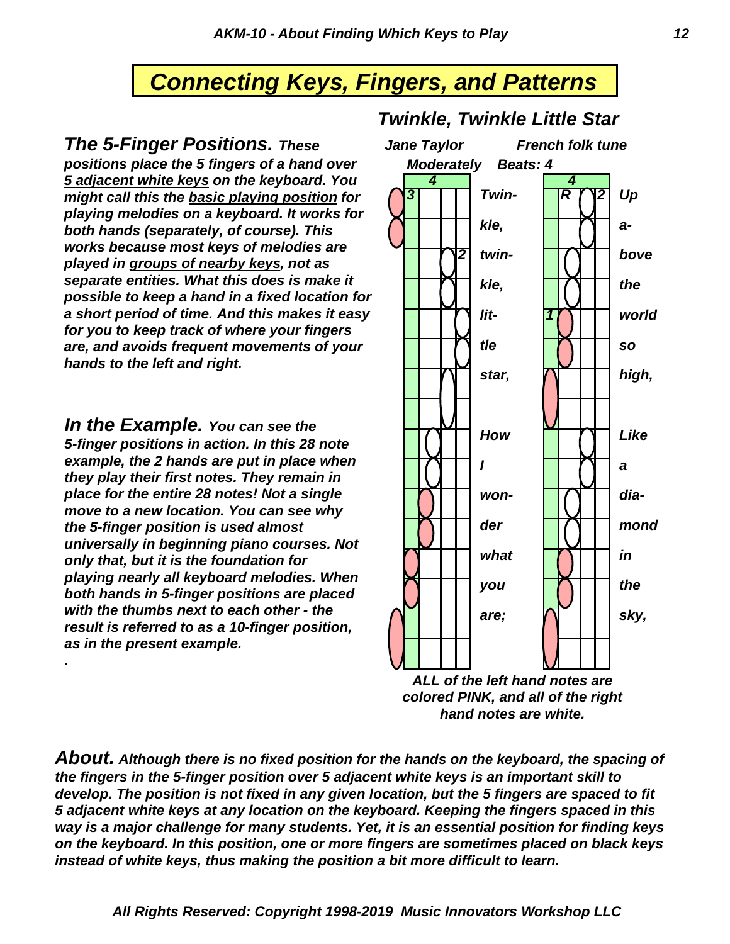# **Connecting Keys, Fingers, and Patterns**

*The 5-Finger Positions. These positions place the 5 fingers of a hand over 5 adjacent white keys on the keyboard. You might call this the basic playing position for playing melodies on a keyboard. It works for both hands (separately, of course). This works because most keys of melodies are played in groups of nearby keys, not as separate entities. What this does is make it possible to keep a hand in a fixed location for a short period of time. And this makes it easy for you to keep track of where your fingers are, and avoids frequent movements of your hands to the left and right.*

*In the Example. You can see the 5-finger positions in action. In this 28 note example, the 2 hands are put in place when they play their first notes. They remain in place for the entire 28 notes! Not a single move to a new location. You can see why the 5-finger position is used almost universally in beginning piano courses. Not only that, but it is the foundation for playing nearly all keyboard melodies. When both hands in 5-finger positions are placed with the thumbs next to each other - the result is referred to as a 10-finger position, as in the present example.*

*.*

#### *Twinkle, Twinkle Little Star*



*ALL of the left hand notes are colored PINK, and all of the right hand notes are white.*

*instead of white keys, thus making the position a bit more difficult to learn. on the keyboard. In this position, one or more fingers are sometimes placed on black keys way is a major challenge for many students. Yet, it is an essential position for finding keys 5 adjacent white keys at any location on the keyboard. Keeping the fingers spaced in this develop. The position is not fixed in any given location, but the 5 fingers are spaced to fit the fingers in the 5-finger position over 5 adjacent white keys is an important skill to About. Although there is no fixed position for the hands on the keyboard, the spacing of*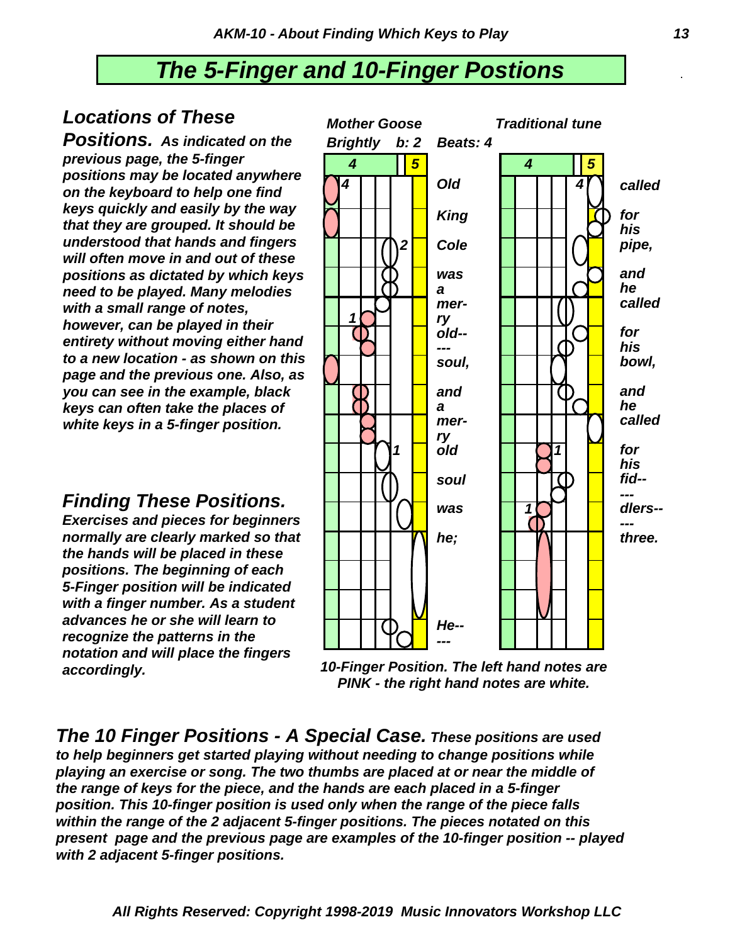## *The 5-Finger and 10-Finger Postions* .

#### *Locations of These*

*Positions. As indicated on the previous page, the 5-finger positions may be located anywhere on the keyboard to help one find keys quickly and easily by the way that they are grouped. It should be understood that hands and fingers will often move in and out of these positions as dictated by which keys need to be played. Many melodies with a small range of notes, however, can be played in their entirety without moving either hand to a new location - as shown on this page and the previous one. Also, as you can see in the example, black keys can often take the places of white keys in a 5-finger position.*

#### *Finding These Positions.*

*Exercises and pieces for beginners normally are clearly marked so that the hands will be placed in these positions. The beginning of each 5-Finger position will be indicated with a finger number. As a student advances he or she will learn to recognize the patterns in the notation and will place the fingers accordingly.*



*10-Finger Position. The left hand notes are PINK - the right hand notes are white.*

*The 10 Finger Positions - A Special Case. These positions are used to help beginners get started playing without needing to change positions while playing an exercise or song. The two thumbs are placed at or near the middle of the range of keys for the piece, and the hands are each placed in a 5-finger position. This 10-finger position is used only when the range of the piece falls within the range of the 2 adjacent 5-finger positions. The pieces notated on this present page and the previous page are examples of the 10-finger position -- played with 2 adjacent 5-finger positions.*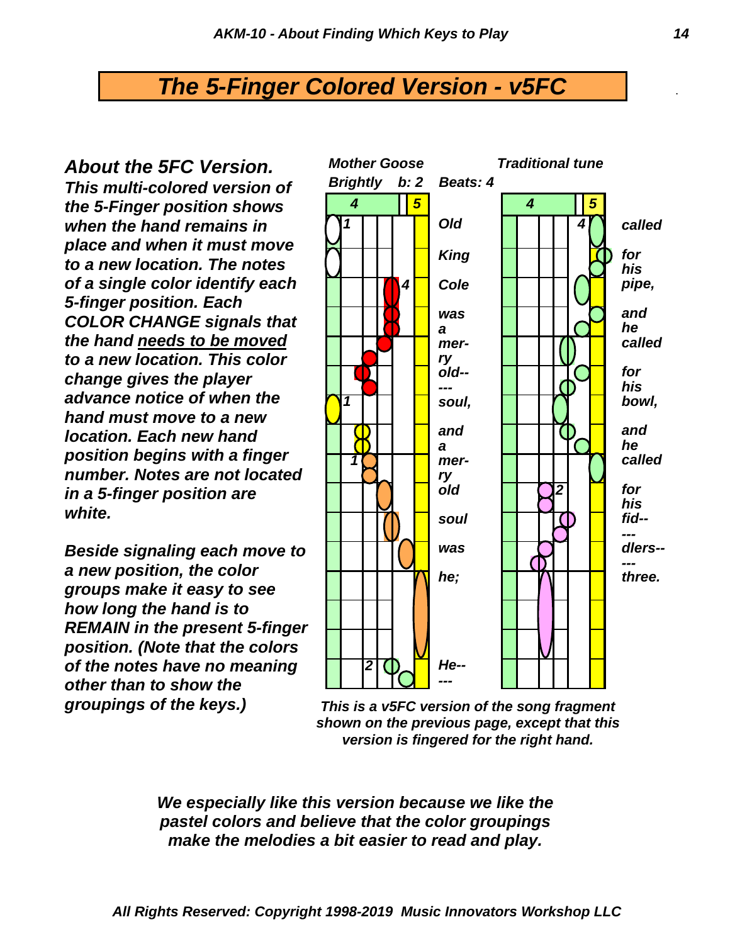### *The 5-Finger Colored Version - v5FC* .

*About the 5FC Version. This multi-colored version of the 5-Finger position shows when the hand remains in place and when it must move to a new location. The notes of a single color identify each 5-finger position. Each COLOR CHANGE signals that the hand needs to be moved to a new location. This color change gives the player advance notice of when the hand must move to a new location. Each new hand position begins with a finger number. Notes are not located in a 5-finger position are white.*

*Beside signaling each move to a new position, the color groups make it easy to see how long the hand is to REMAIN in the present 5-finger position. (Note that the colors of the notes have no meaning other than to show the groupings of the keys.)*



*This is a v5FC version of the song fragment shown on the previous page, except that this version is fingered for the right hand.*

*We especially like this version because we like the pastel colors and believe that the color groupings make the melodies a bit easier to read and play.*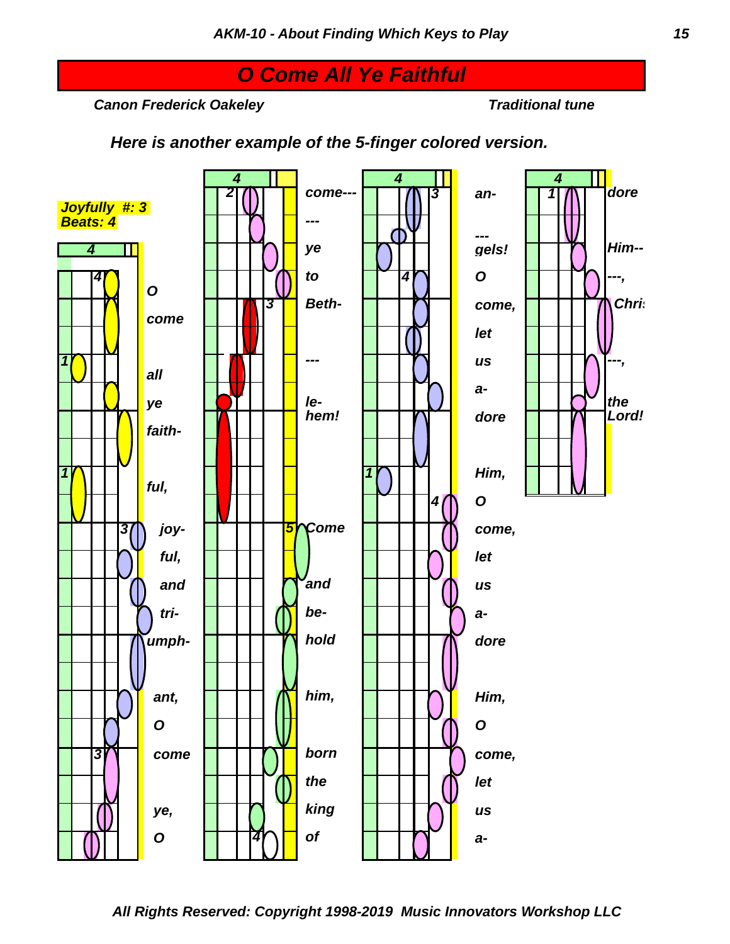# *O Come All Ye Faithful*

*Canon Frederick Oakeley Traditional tune*

*Here is another example of the 5-finger colored version.*